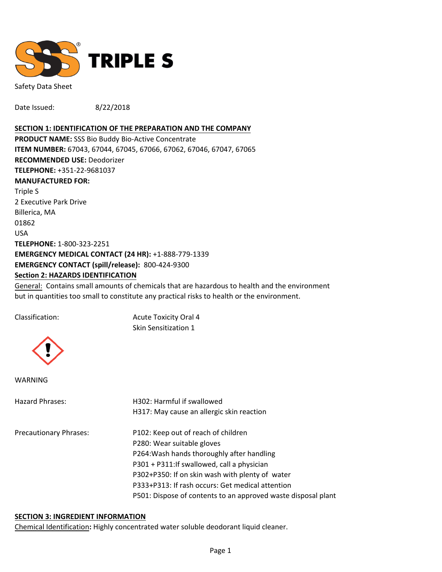

Safety Data Sheet

Date Issued: 8/22/2018

#### **SECTION 1: IDENTIFICATION OF THE PREPARATION AND THE COMPANY**

**PRODUCT NAME:** SSS Bio Buddy Bio-Active Concentrate **ITEM NUMBER:** 67043, 67044, 67045, 67066, 67062, 67046, 67047, 67065 **RECOMMENDED USE:** Deodorizer **TELEPHONE:** +351-22-9681037 **MANUFACTURED FOR:**  Triple S 2 Executive Park Drive Billerica, MA 01862 USA **TELEPHONE:** 1-800-323-2251 **EMERGENCY MEDICAL CONTACT (24 HR):** +1-888-779-1339 **EMERGENCY CONTACT (spill/release):** 800-424-9300 **Section 2: HAZARDS IDENTIFICATION**

General: Contains small amounts of chemicals that are hazardous to health and the environment but in quantities too small to constitute any practical risks to health or the environment.

Classification: Acute Toxicity Oral 4 Skin Sensitization 1



WARNING

| Hazard Phrases:               | H302: Harmful if swallowed                                    |  |  |
|-------------------------------|---------------------------------------------------------------|--|--|
|                               | H317: May cause an allergic skin reaction                     |  |  |
| <b>Precautionary Phrases:</b> | P102: Keep out of reach of children                           |  |  |
|                               | P280: Wear suitable gloves                                    |  |  |
|                               | P264: Wash hands thoroughly after handling                    |  |  |
|                               | P301 + P311: If swallowed, call a physician                   |  |  |
|                               | P302+P350: If on skin wash with plenty of water               |  |  |
|                               | P333+P313: If rash occurs: Get medical attention              |  |  |
|                               | P501: Dispose of contents to an approved waste disposal plant |  |  |
|                               |                                                               |  |  |

#### **SECTION 3: INGREDIENT INFORMATION**

Chemical Identification**:** Highly concentrated water soluble deodorant liquid cleaner.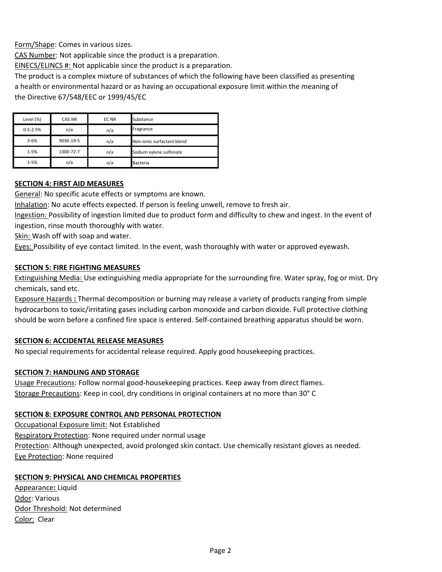Form/Shape: Comes in various sizes.

CAS Number: Not applicable since the product is a preparation.

EINECS/ELINCS #: Not applicable since the product is a preparation.

The product is a complex mixture of substances of which the following have been classified as presenting a health or environmental hazard or as having an occupational exposure limit within the meaning of the Directive 67/548/EEC or 1999/45/EC

| Level (%)    | CAS NR    | EC NR | Substance                  |
|--------------|-----------|-------|----------------------------|
| $0.5 - 2.5%$ | n/a       | n/a   | Fragrance                  |
| $3 - 6%$     | 9036-19-5 | n/a   | Non-ionic surfactant blend |
| $1 - 5%$     | 1300-72-7 | n/a   | Sodium xylene sulfonate    |
| $1 - 5%$     | n/a       | n/a   | <b>Bacteria</b>            |

### **SECTION 4: FIRST AID MEASURES**

General: No specific acute effects or symptoms are known.

Inhalation: No acute effects expected. If person is feeling unwell, remove to fresh air.

Ingestion: Possibility of ingestion limited due to product form and difficulty to chew and ingest. In the event of ingestion, rinse mouth thoroughly with water.

Skin: Wash off with soap and water.

Eyes: Possibility of eye contact limited. In the event, wash thoroughly with water or approved eyewash.

### **SECTION 5: FIRE FIGHTING MEASURES**

Extinguishing Media: Use extinguishing media appropriate for the surrounding fire. Water spray, fog or mist. Dry chemicals, sand etc.

Exposure Hazards **:** Thermal decomposition or burning may release a variety of products ranging from simple hydrocarbons to toxic/irritating gases including carbon monoxide and carbon dioxide. Full protective clothing should be worn before a confined fire space is entered. Self-contained breathing apparatus should be worn.

### **SECTION 6: ACCIDENTAL RELEASE MEASURES**

No special requirements for accidental release required. Apply good housekeeping practices.

### **SECTION 7: HANDLING AND STORAGE**

Usage Precautions: Follow normal good-housekeeping practices. Keep away from direct flames. Storage Precautions: Keep in cool, dry conditions in original containers at no more than 30° C

### **SECTION 8: EXPOSURE CONTROL AND PERSONAL PROTECTION**

Occupational Exposure limit: Not Established Respiratory Protection: None required under normal usage Protection: Although unexpected, avoid prolonged skin contact. Use chemically resistant gloves as needed. Eye Protection: None required

### **SECTION 9: PHYSICAL AND CHEMICAL PROPERTIES**

Appearance**:** Liquid Odor: Various Odor Threshold: Not determined Color: Clear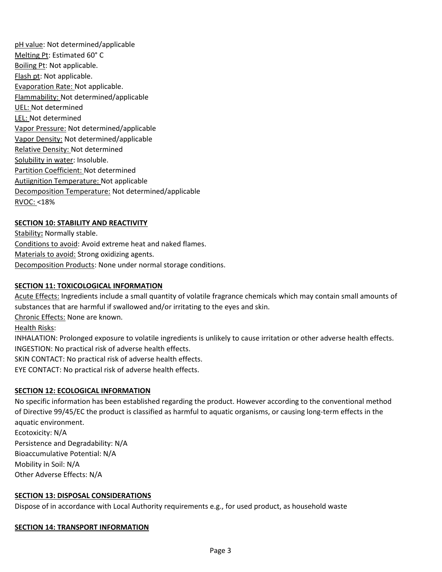pH value: Not determined/applicable Melting Pt: Estimated 60° C Boiling Pt: Not applicable. Flash pt: Not applicable. Evaporation Rate: Not applicable. Flammability: Not determined/applicable UEL: Not determined LEL: Not determined Vapor Pressure: Not determined/applicable Vapor Density: Not determined/applicable Relative Density: Not determined Solubility in water: Insoluble. Partition Coefficient: Not determined Autiignition Temperature: Not applicable Decomposition Temperature: Not determined/applicable RVOC: <18%

# **SECTION 10: STABILITY AND REACTIVITY**

Stability**:** Normally stable. Conditions to avoid: Avoid extreme heat and naked flames. Materials to avoid: Strong oxidizing agents. Decomposition Products: None under normal storage conditions.

## **SECTION 11: TOXICOLOGICAL INFORMATION**

Acute Effects: Ingredients include a small quantity of volatile fragrance chemicals which may contain small amounts of substances that are harmful if swallowed and/or irritating to the eyes and skin.

Chronic Effects: None are known.

Health Risks:

INHALATION: Prolonged exposure to volatile ingredients is unlikely to cause irritation or other adverse health effects. INGESTION: No practical risk of adverse health effects.

SKIN CONTACT: No practical risk of adverse health effects.

EYE CONTACT: No practical risk of adverse health effects.

### **SECTION 12: ECOLOGICAL INFORMATION**

No specific information has been established regarding the product. However according to the conventional method of Directive 99/45/EC the product is classified as harmful to aquatic organisms, or causing long-term effects in the aquatic environment.

Ecotoxicity: N/A Persistence and Degradability: N/A Bioaccumulative Potential: N/A Mobility in Soil: N/A Other Adverse Effects: N/A

### **SECTION 13: DISPOSAL CONSIDERATIONS**

Dispose of in accordance with Local Authority requirements e.g., for used product, as household waste

# **SECTION 14: TRANSPORT INFORMATION**